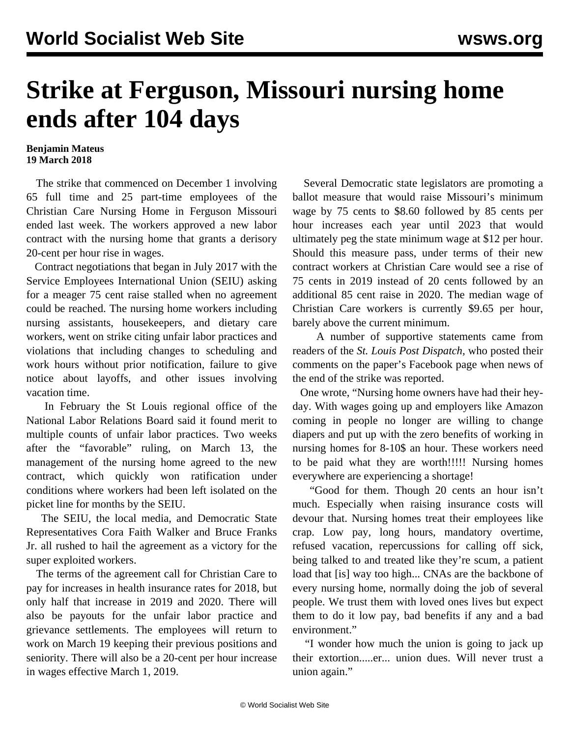## **Strike at Ferguson, Missouri nursing home ends after 104 days**

## **Benjamin Mateus 19 March 2018**

 The strike that commenced on December 1 involving 65 full time and 25 part-time employees of the Christian Care Nursing Home in Ferguson Missouri ended last week. The workers approved a new labor contract with the nursing home that grants a derisory 20-cent per hour rise in wages.

 Contract negotiations that began in July 2017 with the Service Employees International Union (SEIU) asking for a meager 75 cent raise stalled when no agreement could be reached. The nursing home workers including nursing assistants, housekeepers, and dietary care workers, went on strike citing unfair labor practices and violations that including changes to scheduling and work hours without prior notification, failure to give notice about layoffs, and other issues involving vacation time.

 In February the St Louis regional office of the National Labor Relations Board said it found merit to multiple counts of unfair labor practices. Two weeks after the "favorable" ruling, on March 13, the management of the nursing home agreed to the new contract, which quickly won ratification under conditions where workers had been left isolated on the picket line for months by the SEIU.

 The SEIU, the local media, and Democratic State Representatives Cora Faith Walker and Bruce Franks Jr. all rushed to hail the agreement as a victory for the super exploited workers.

 The terms of the agreement call for Christian Care to pay for increases in health insurance rates for 2018, but only half that increase in 2019 and 2020. There will also be payouts for the unfair labor practice and grievance settlements. The employees will return to work on March 19 keeping their previous positions and seniority. There will also be a 20-cent per hour increase in wages effective March 1, 2019.

 Several Democratic state legislators are promoting a ballot measure that would raise Missouri's minimum wage by 75 cents to \$8.60 followed by 85 cents per hour increases each year until 2023 that would ultimately peg the state minimum wage at \$12 per hour. Should this measure pass, under terms of their new contract workers at Christian Care would see a rise of 75 cents in 2019 instead of 20 cents followed by an additional 85 cent raise in 2020. The median wage of Christian Care workers is currently \$9.65 per hour, barely above the current minimum.

 A number of supportive statements came from readers of the *St. Louis Post Dispatch,* who posted their comments on the paper's Facebook page when news of the end of the strike was reported.

 One wrote, "Nursing home owners have had their heyday. With wages going up and employers like Amazon coming in people no longer are willing to change diapers and put up with the zero benefits of working in nursing homes for 8-10\$ an hour. These workers need to be paid what they are worth!!!!! Nursing homes everywhere are experiencing a shortage!

 "Good for them. Though 20 cents an hour isn't much. Especially when raising insurance costs will devour that. Nursing homes treat their employees like crap. Low pay, long hours, mandatory overtime, refused vacation, repercussions for calling off sick, being talked to and treated like they're scum, a patient load that [is] way too high... CNAs are the backbone of every nursing home, normally doing the job of several people. We trust them with loved ones lives but expect them to do it low pay, bad benefits if any and a bad environment."

 "I wonder how much the union is going to jack up their extortion.....er... union dues. Will never trust a union again."